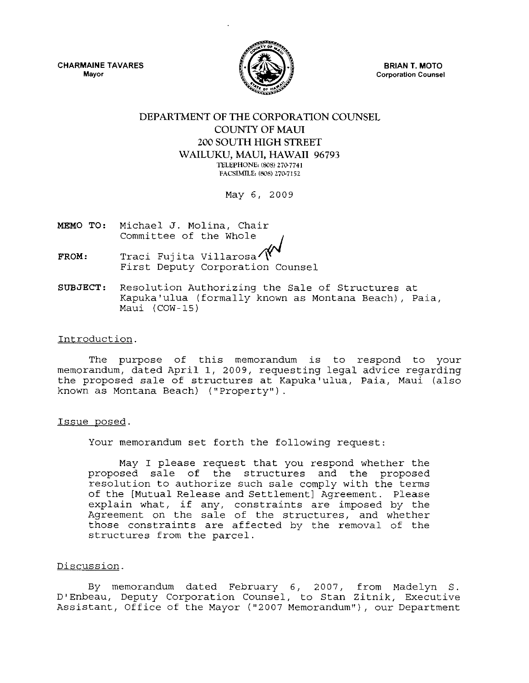CHARMAINE TAVARES **Mayor** 



BRIAN T. MOTO **Corporation Counsel** 

# DEPARTMENT OF THE CORPORATION COUNSEL COUNTY OF MAUI 200 SOUTH HIGH STREET WAILUKU, MAUl, HAWAII 96793 TELEPHONE: (808) 270-7741 FACSIMILE: (808) 270-7152

May 6, 2009

- MEMO TO: Michael J. Molina, Chair Committee of the Whole
- FROM: Traci Fujita Villarosa/ T<br>First Deputy Corporation Counsel
- SUBJECT: Resolution Authorizing the Sale of Structures at Kapuka'ulua (formally known as Montana Beach), Paia, Maui (COW-IS)

# Introduction.

The purpose of this memorandum is to respond to your memorandum, dated April 1, 2009, requesting legal advice regarding the proposed sale of structures at Kapuka'ulua, Paia, Maui (also known as Montana Beach) ("Property").

# Issue posed.

Your memorandum set forth the following request:

May I please request that you respond whether the proposed sale of the structures and the proposed resolution to authorize such sale comply with the terms of the [Mutual Release and Settlement] Agreement. please of the phitual Refease and Settlement, Agreement: Please<br>explain what, if any, constraints are imposed by the Agreement on the sale of the structures, and whether those constraints are affected by the removal of the structures from the parcel.

# Discussion.

By memorandum dated February 6, 2007, from Madelyn S. D'Enbeau, Deputy Corporation Counsel, to Stan Zitnik, Executive Assistant, Office of the Mayor ("2007 Memorandum"), our Department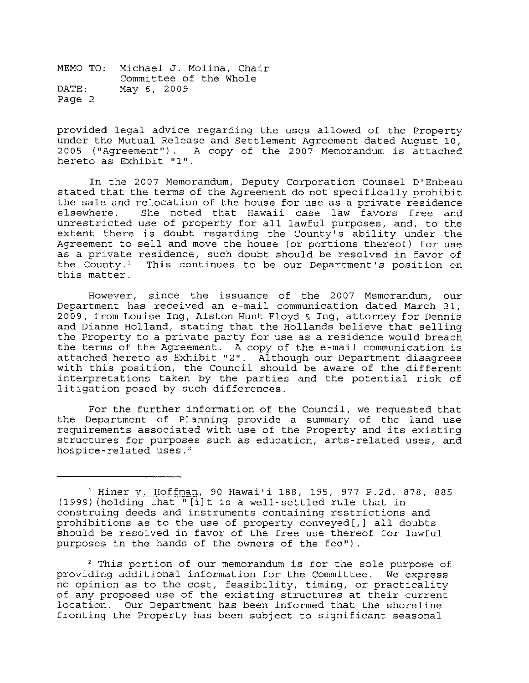MEMO TO: Michael J. Molina, Chair Committee of the Whole DATE: May 6, 2009 Page 2

provided legal advice regarding the uses allowed of the Property under the Mutual Release and Settlement Agreement dated August 10, 2005 ("Agreement"). A copy of the 2007 Memorandum is attached hereto as Exhibit **"1".** 

In the 2007 Memorandum, Deputy Corporation Counsel D'Enbeau stated that the terms of the Agreement do not specifically prohibit the sale and relocation of the house for use as a private residence elsewhere. She noted that Hawaii case law favors free and unrestricted use of property for all lawful purposes, and, to the extent there is doubt regarding the County's ability under the Agreement to sell and move the house (or portions thereof) for use as a private residence, such doubt should be resolved in favor of the County.<sup>1</sup> This continues to be our Department's position on this matter.

However, since the issuance of the 2007 Memorandum, our Department has received an e-mail communication dated March 31, 2009, from Louise lng, Alston Hunt Floyd & lng, attorney for Dennis and Dianne Holland, stating that the Hollands believe that selling the Property to a private party for use as a residence would breach the terms of the Agreement. A copy of the e-mail communication is and commission one rigidoments. In edgy of the committee communication is with this position, the Council should be aware of the different interpretations taken by the parties and the potential risk of litigation posed by such differences.

For the further information of the Council, we requested that the Department of Planning provide a summary of the land use requirements associated with use of the Property and its existing structures for purposes such as education, arts-related uses, and hospice-related uses.'

 $2$  This portion of our memorandum is for the sole purpose of providing additional information for the Committee. We express no opinion as to the cost, feasibility, timing, or practicality of any proposed use of the existing structures at their current location. Our Department has been informed that the shoreline fronting the Property has been subject to significant seasonal

<sup>1</sup> Hiner v. Hoffman, 90 Hawai'i 188, 195, 977 P.2d. 878, 885  $(1999)$  (holding that " $[i]$ t is a well-settled rule that in construing deeds and instruments containing restrictions and prohibitions as to the use of property conveyed[,] all doubts should be resolved in favor of the free use thereof for lawful purposes in the hands of the owners of the fee")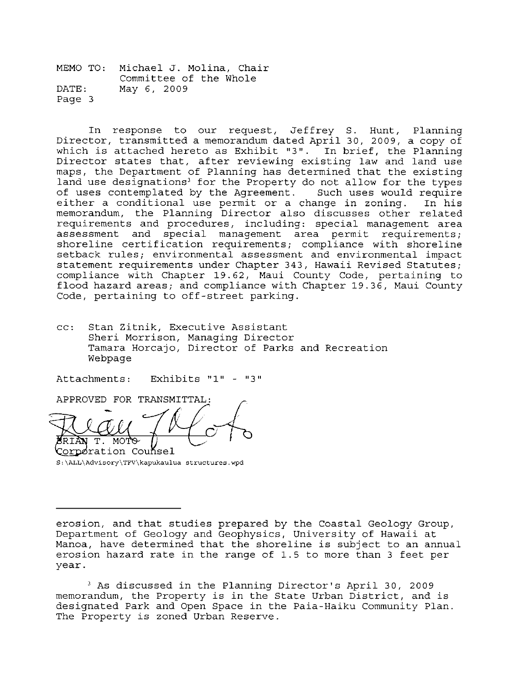MEMO TO: Michael J. Molina, Chair Committee of the Whole DATE: May 6, 2009 Page 3

In response to our request, Jeffrey S. Hunt, Planning Director, transmitted a memorandum dated April 30, 2009, a copy of which is attached hereto as Exhibit "3". In brief, the Planning Director states that, after reviewing existing law and land use maps, the Department of Planning has determined that the existing land use designations<sup>3</sup> for the Property do not allow for the types of uses contemplated by the Agreement. Such uses would require either a conditional use permit or a change in zoning. In his memorandum, the Planning Director also discusses other related requirements and procedures, including: special management area assessment and special management area permit requirements; shoreline certification requirements; compliance with shoreline setback rules; environmental assessment and environmental impact statement requirements under Chapter 343, Hawaii Revised Statutes; compliance with Chapter 19.62, Maui County Code, pertaining to flood hazard areas; and compliance with Chapter 19.36, Maui County Code, pertaining to off-street parking.

cc: Stan Zitnik, Executive Assistant Sheri Morrison, Managing Director Tamara Horcajo, Director of Parks and Recreation Webpage

Attachments: Exhibits "1" - "3"

APPROVED FOR TRANSMITTAL: T. MOTO Corporation Counsel

**S:\ALL\Advisory\TFV\kapukaulua structures.wpd** 

3 As discussed in the Planning Director's April 30, 2009 memorandum, the Property is in the State Urban District, and is designated Park and Open Space in the Paia-Haiku Community Plan. The Property is zoned Urban Reserve.

erosion, and that studies prepared by the Coastal Geology Group, Department of Geology and Geophysics, University of Hawaii at Manoa, have determined that the shoreline is subject to an annual erosion hazard rate in the range of 1.5 to more than 3 feet per year.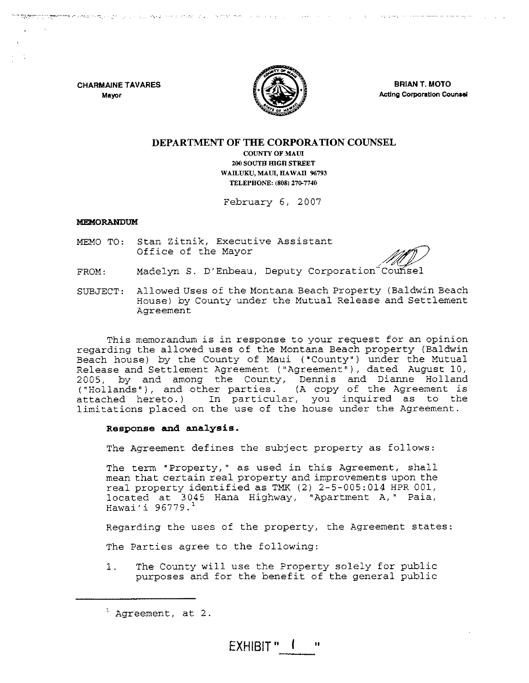**CHARMAINE TAVARES Mayor** 



ים יותר האופ<del>רים באשרים לא נאי</del> פאריין או יותר האופריה, אי אי או איז אחדאו על שנת לאי בפאי בפאי<sub>ת</sub> לו על לסיי שפאל

**BRIAN T. MOTO ActIng Corporation Counsel** 

# **DEPARTMENT OF THE CORPORATION COUNSEL COUNTY OF MAUl 200 SOUTH IDGH STREET WAILUKU, MAUl, HAWAII 96793 TELEPHONE: (808) 270-7740**

February 6, 2007

### **MEMORANDUM**

MEMO TO: Stan Zitnik, Executive Assistant<br>
Office of the Mayor

- FROM: Madelyn S. D'Enbeau, Deputy Corporation Counsel
- SUBJECT: Allowed Uses of the Montana Beach Property (Baldwin Beach House) by County under the Mutual Release and Settlement Agreement

This memorandum is in response to your request for an opinion regarding the allowed uses of the Montana Beach property (Baldwin Beach house) by the County of Maui ("County") under the Mutual Release and Settlement Agreement ("Agreement"), dated August 10, 2005, by and among the County, Dennis and Dianne Holland ("Hollands"), and other parties. (A copy of the Agreement is attached hereto.) In particular, you inquired as to the limitations placed on the use of the house under the Agreement.

### **Response and analysis.**

The Agreement defines the subject property as follows:

The term "Property," as used in this Agreement, shall mean that certain real property and improvements upon the real property identified as TMK (2) 2-5-005:014 HPR 001, located at 3045 Hana Highway, "Apartment A," Paia, Hawai'i 96779. '

Regarding the uses of the property, the Agreement states:

The Parties agree to the following:

1. The County will use the Property solely for public purposes and for the benefit of the general public

 $1$  Agreement, at 2.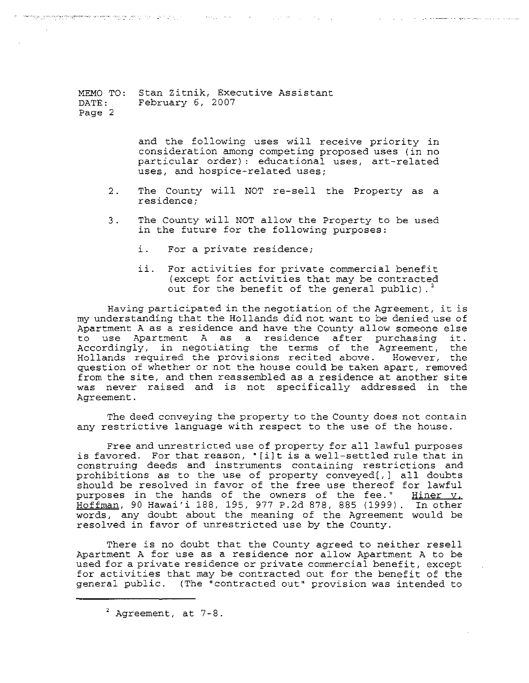MEMO TO: Stan Zitnik, Executive Assistant DATE: Page 2 February 6, 2007

> and the following uses will receive priority in consideration among competing proposed uses (in no particular order): educational uses, art-related uses, and hospice-related uses;

2. The County will NOT re-sell the Property as a residence;

n <mark>man standing kat</mark>ha kathan tingga ng katalog sa kalawang ng kathang ng katalog sa kalawang katalog ng katalog sa

- 3. The County will NOT allow the Property to be used in the future for the following purposes:
	- i. For a private residence;
	- ii. For activities for private commercial benefit (except for activities that may be contracted out for the benefit of the general public).<sup>2</sup>

Having participated in the negotiation of the Agreement, it is my understanding that the Hollands did not want to be denied use of Apartment A as a residence and have the County allow someone else<br>to use Apartment A as a residence after purchasing it. use Apartment A as a residence after purchasing Accordingly, in negotiating the terms of the Agreement, the Hollands required the provisions recited above. However, the question of whether or not the house could be taken apart, removed from the site, and then reassembled as a residence at another site was never raised and is not specifically addressed in the Agreement.

The deed conveying the property to the County does not contain any restrictive language with respect to the use of the house.

Free and unrestricted use of property for all lawful purposes is favored. For that reason, • [i]t is a well-settled rule that in construing deeds and instruments containing restrictions and prohibitions as to the use of property conveyed[,] all doubts should be resolved in favor of the free use thereof for lawful purposes in the hands of the owners of the fee." Hiner y. purposes in the hands of the owners of the fee." Hoffman, 90 Hawai'i 188, 195, 977 P.2d 878, 885 (1999). In other words, any doubt about the meaning of the Agreement would be resolved in favor of unrestricted use by the County.

There is no doubt that the County agreed to neither resell Apartment A for use as a residence nor allow Apartment A to be used for a private residence or private commercial benefit, except for activities that may be contracted out for the benefit of the general public. (The "contracted out" provision was intended to

 $2$  Agreement, at  $7-8$ .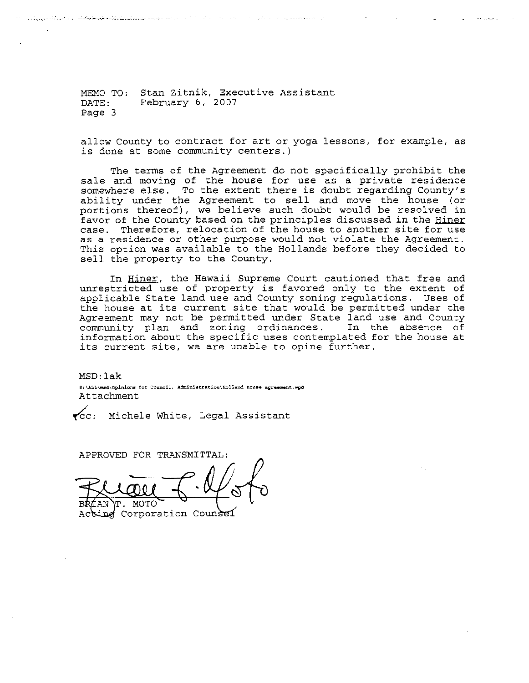MEMO TO: Stan Zitnik, Executive Assistant DATE: Page 3 February 6, 2007

ր անդրանան կառում անգա<del>կական կարևա</del>ն համար հարավարությունները հարավարությունները հարավարությունները։ Հայաստանի հա

allow County to contract for art or yoga lessons, for example, as is done at some community centers.)

 $\omega$  ,  $\omega$  ,  $\omega$  ,  $\omega$  ,  $\omega$  ,  $\omega$ 

The terms of the Agreement do not specifically prohibit the sale and moving of the house for use as a private residence somewhere else. To the extent there is doubt regarding County's ability under the Agreement to sell and move the house (or portions thereof), we believe such doubt would be resolved in favor of the County based on the principles discussed in the Hiner case. Therefore, relocation of the house to another site for use as a residence or other purpose would not violate the Agreement. This option was available to the Hollands before they decided to sell the property to the County.

In Hiner, the Hawaii Supreme Court cautioned that free and unrestricted use of property is favored only to the extent of applicable State land use and County zoning regulations. Uses of the house at its current site that would be permitted under the Agreement may not be permitted under State land use and County community plan and zoning ordinances. In the absence of information about the specific uses contemplated for the house at its current site, we are unable to opine further.

MSD: lak 8:\ALL\msd\Opinions for Council, Administration\Holland house agreement.wpd Attachment

~c: Michele White, Legal Assistant

APPROVED FOR TRANSMITTAL:

חידראו

sing Corporation Counsel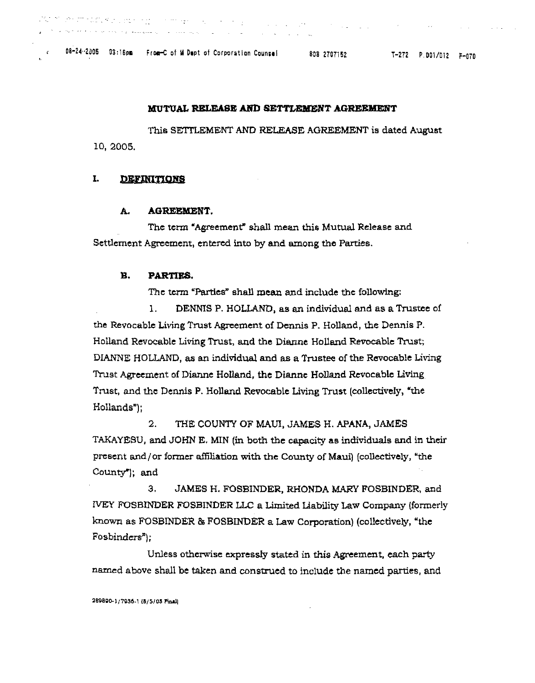08-24-2005 03:16pm From-C of M Dupt of Corporation Counsel 808 2707152

 $\mathcal{A}=\{a,b,c\}$  , where  $\mathcal{A}$ 

 $\mathcal{A}_1$  , and  $\mathcal{A}_2$  , and

## MUTUAL RELEASE AND SETTLEMENT AGREEMENT

This SETTLEMENT AND RELEASE AGREEMENT is dated August 10, 2005.

#### I. DEFINITIONS

 $\mathbb{C}^{n\times n}$  , we are easy with a set of  $\mathbb{C}^{n}$ 

#### A. **AGREEMENT.**

The term "Agreement" shall mean this Mutual Release and Settlement Agreement, entered into by and among the Parties.

#### В. PARTIES.

The term "Parties" shall mean and include the following:

1. DENNIS P. HOLLAND, as an individual and as a Trustee of the Revocable Living Trust Agreement of Dennis P. Holland, the Dennis P. Holland Revocable Living Trust, and the Dianne Holland Revocable Trust; DIANNE HOLLAND, as an individual and as a Trustee of the Revocable Living Trust Agreement of Dianne Holland, the Dianne Holland Revocable Living Trust, and the Dennis P. Holland Revocable Living Trust (collectively, "the Hollands");

 $2.$ THE COUNTY OF MAUI, JAMES H. APANA, JAMES TAKAYESU, and JOHN E. MIN (in both the capacity as individuals and in their present and/or former affiliation with the County of Maui) (collectively, "the County"); and

З. JAMES H. FOSBINDER, RHONDA MARY FOSBINDER, and IVEY FOSBINDER FOSBINDER LLC a Limited Liability Law Company (formerly known as FOSBINDER & FOSBINDER a Law Corporation) (collectively, "the  $Foshinders$ ");

Unless otherwise expressly stated in this Agreement, each party named above shall be taken and construed to include the named parties, and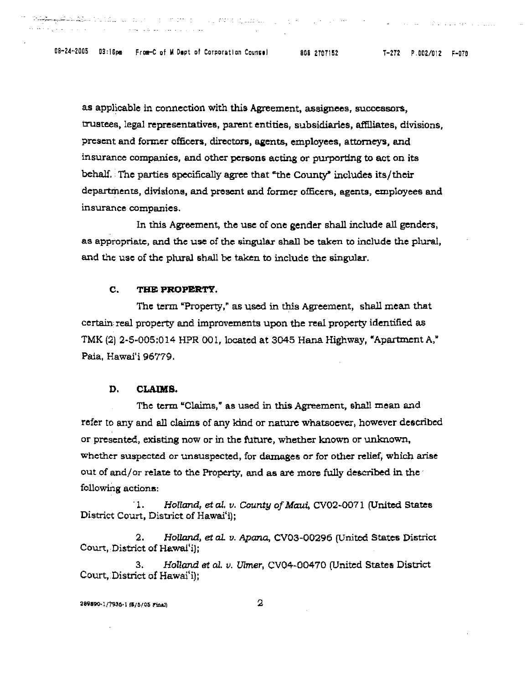-- - <sup>~</sup>- - , *-* '-~r----.-. *\_\_\_\_\_\_ :\_* 

as applicable in connection with this Agreement, assignees, successors, trustees, legal representatives, parent entities, subsidiaries, affiliates, divisions, present and former officers, directors, agents, employees, attorneys, and insurance companies, and other persons acting or purporting to act on its behalf. The parties specifically agree that "the County" includes its/their departments, divisions, and present and former officers, agents, employees and insurance companies.

In this Agreement, the use of one gender shall include all genders, as appropriate, and the use of the singular shall be taken to include the plural, and the use of the plural shall be taken to include the singular.

### C. **TB& PROPERTY.**

The term "Property," as used in this Agreement, shall mean that certain real property and improvements upon the real property identified as TMK (2) 2-5-005:014 HPR 001, located at 3045 Hana Highway, «Apartment A," Paia, Hawai'i 96779.

# D. CLAIMS.

The term "Claims,' as used in this Agreement, shall mean and refer to any and all claims of any kind or nature whatsoever, however described or presented, existing now or in the future, whether known or unknown, Whether suspected or unsuspected, for damages or for other relief, which arise out of and/or relate to the Property, and as are more fully described in the following actions:

1. *Holland, et al. v. County of Maui, CV02-0071 (United States* District Court, District of Hawai'i);

2. Holland, et al. v. Apana, CV03-00296 (United States District Court, District of Hawai'i);

*3. Holland* 6t aI. *v. Ulmer,* CV04-00470 (United States District Court, District of Hawai'i);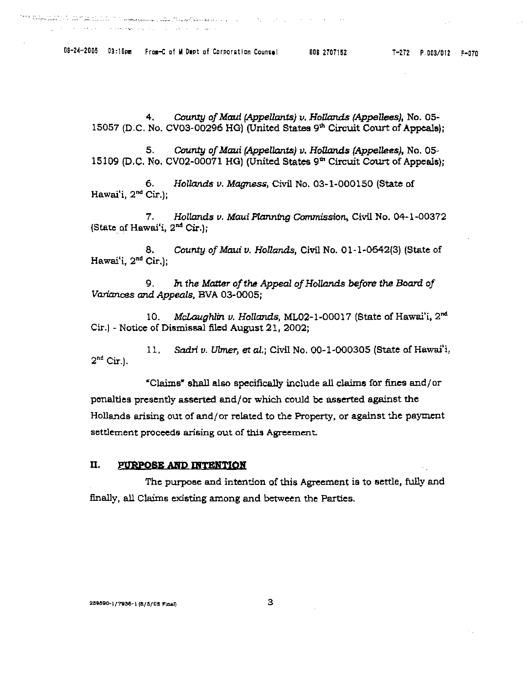*4.* County *of Maui* (Appellants) v. *HoUands* (Appellees), No. 05- 15057 (D,C. No. CV03-00296 HO) (United States 9'" Circuit Court of Appeals);

*5.* County *of* Maui (Appellants) v. *Hollands* (Appellees), No. 05- 15109 (D.C. No. CV02-00071 HO) (United States 9'" Circuit Court of Appeals);

6. *Hollands u.* Magness, Civil No. 03-1-000150 (State of Hawai'i, 2nd Cir.);

*7. Hollands u. MauiPlan.nfng* Commission, Civil No. 04-1-00372 (State of Hawai'i,  $2<sup>nd</sup>$  Cir.);

8. County *of* Maul *v. Hollaruls,* Civil No. 01-1-0642(3) (State of Hawai'i, 2nd Cir.);

9. In the Matter of the Appeal of Hollands before the Board of *Variances and* Appeals, BVA 03-0005;

10. McLaughlin *v. HoUands,* ML02-1-00017 (State of Hawai'i, 2nd Cir.) - Notice of Dismissal filed August 21,2002;

*11.* sadri *v.* Ulmer, et *al.;* Civil No. 00-1-000305 (State of Hawai'i,  $2<sup>nd</sup>$  Cir.).

'Claims" shall alae specifically include all claims for fines and/or penalties presently asserted and/or which could be asserted against the Hollands arising out of and/or related to the Property, or against the payment settlement proceeds arising out of this Agreement.

# II. PURPOSE AND INTENTION

The purpoee and intention of this Agreement is to eettle, fully and finally, all Claims existing among and between the Parties.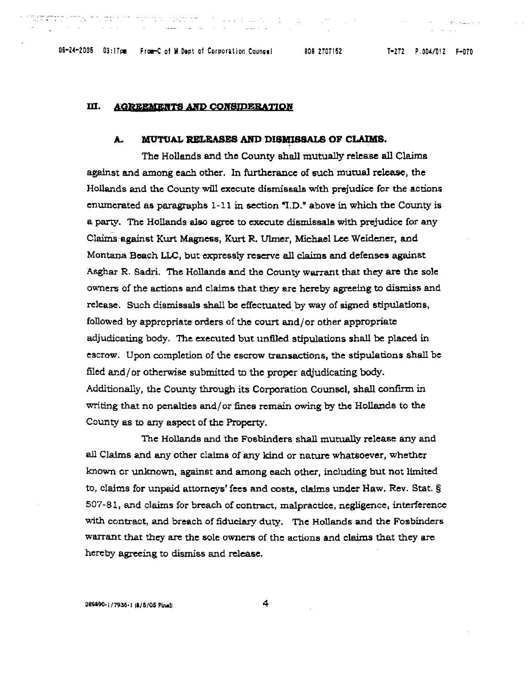en alla de

#### Ш. **AGREEMENTS AND CONSIDERATION**

# **A. MUTUAL RELEASES AND DISMISSALS OF CLAIMS.**

The Hollands and the County shall mutually release all Claims against and among each other. In furtherance of such mutual release, the Hollands and the County will execute dismissals with prejudice for the actions enumerated as paragraphs  $1-11$  in section "I.D." above in which the County is a party. The Hollands also agree to execute dismissal8 with prejudice: for any Claims against Kurt Magness, Kurt R. Ulmer, Michael Lee Weidener, and Montana Beach LLC, but expressly reserve all claims and defenses against Asghar R. Sadri. The Hollands and the County warrant that they are the sole ownen; of the actions and claims that they are hereby agreeing to dismiss and release. Such dismissals shall be effectuated by way of signed stipulations, followed by appropriate orders of the court and/or other appropriate adjudicating body. The executed but unfiled stipulations shall be placed in escrow. Upon completion of the escrow transactions, the stipulations shall be filed and/or otherwise submitted to the proper adjudicating body. Additionally, the County through its Corporation Counsel, shall confirm in writing that no penalties and/ or fines remain owing by the Hollands to the County as to any aspect of the Property.

The Hollands and the Fosbinders shall mutually release any and all Claims and any other claims of any kind or nature whataoever, whether known or unknown, against and among each other, including but not limited to, claims for unpaid attorneys' fees and costs, claims under Haw. Rev. Stat. § 507-81, and claims for breach of contract, malpractice, negligence, interference with contract, and breach of fiduciary duty. The Hollands and the Fosbinders warrant that they are the sole owners of the actions and claims that they are hereby agreeing to dismiss and release.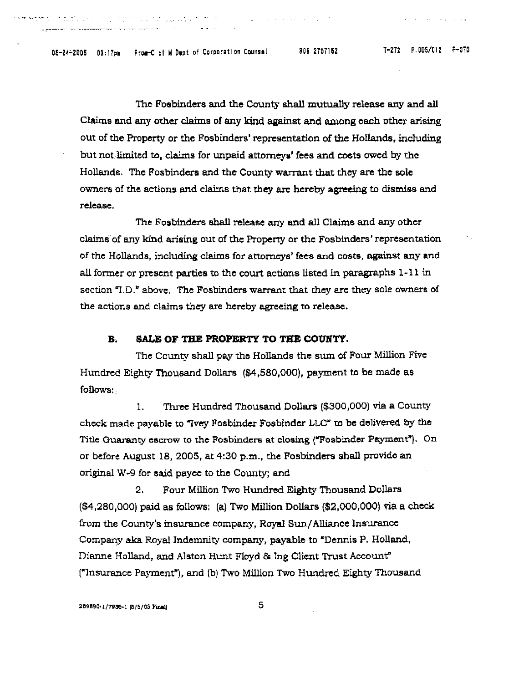The Fosbinders and the County shall mutually release any and all Claims and any other claims of any kind against and among each other arising out of the Property or the Fosbindera' representation of the Hollands. including but not limited to, claims for Wlpaid attorneys' fees and costs owed by the Hollands. The Fosbinders and the County warrant that they are the sole owners of the actions and claims that they are hereby agreeing to dismiss and release.

The Fosbinders shall release any and all Claims and any other claims of any kind arising out of the Property or the Fosbinders' representation of the Hollands, including claims for attorneys' fees and costs, against any and all former or present parties to the court actions listed In paragraphs 1-11 in section "I.D." above. The Fosbinders warrant that they are they sole owners of the actions and claims they are hereby agreeing to release.

## **B. SALE OF THE PROPERTY TO THE COUNTY.**

The County shall pay the Hollands the sum of Four Million Five Hundred Eighty Thousand Dollars (\$4,580,000), payment to be made as follows:

1. Three Hundred Thousand Dollars (\$300,000) via a County check made payable to "Ivey Fosbinder Fosbinder LLC" to be delivered by the Title Guaranty escrow to the Fosbinders at closing ("Fosbindcr Payment"). On or before AUgust 18, 2005, at 4:30 p.m., the Fosbinders shall provide an originalW-9 for said payee to the County; and

2. Four Million Two Hundred Eighty Thousand Dollars (\$4,280,000) paid as follows: (a) Two Million Dollars (\$2,000,000) via a check from the County's insurance company, Royal Sun/Alliance Insurance Company aka Royal Indemnity company, payable to "Dennis P. Holland, Dianne Holland, and Alston Hunt Floyd & Ing Client Trust Account" ("1nsurance Payment"j, and (b) Two Million Two Hundred Eighty Thousand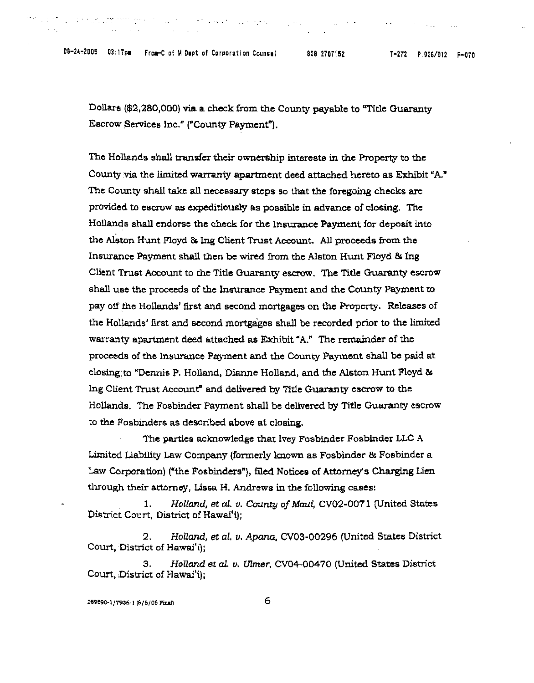08-24-2005 03:17pm From-C of M Dapt of Corporation Counse! 808 2707152 7-272 P.006/012 F-070

die huste und der hinnen.

Dollars (\$2,280,000) via a check from the County payable to "Title Guaranty Escrow \$ervices Inc." ("County Payment").

and a final property

The Hollands shall transfer their ownership interests in the Property to the County via the limited warranty apartment deed attached hereto as Exhibit "A." The County shall take all necessary steps so that the foregoing checks are provided to escrow as expeditiously as possible in advance of closing. The Hollands shall endorse the check for the Insurance Payment for deposit into the Alston Hunt Floyd & 1ng Client Trust Account. All proceeds from the Insurance Payment shall then be wired from the Alston Hunt Floyd & Ins Client Trust Account to the Title Guaranty escrow. The Title Guaranty escrow shall use the proceeds of the Insurance Payment and the County Payment to pay off the Hollands' first and second mortgages on the Property. Releases of the Hollands' first and second mortgages shall be recorded prior to the limited warranty apartment deed attached as Exhibit "A." The remainder of the proceeds of the Insurance Payment and the County Payment shall be paid at closing,to "Dennis P. Holland, Dianne Holland, and the Alston Hunt Floyd &; Ing Client Trust Account" and delivered by Title Guaranty escrow to the Hollands. The Fosbinder Payment shall be delivered by Title Guaranty escrow to the Fosbinders as described above at closing.

The parties acknowledge that Ivey Fosbinder Fosbinder LLC A Limited Uabillty Law Company (formerly known as Fosbinder & Fosbinder a Law Corporation) ("the Fosbinders"). filed Notices of Attorney's Charging Lien through their attorney, Lissa H. Andrews in the following cases:

1. *Holland, et al. v. County of Maui, CV02-0071* (United States District Court, District of Hawai'i);

*2. HoUand,* et al. II. *Apana.* CV03-00296 (United States District Court, District of Hawai'i);

*3. Holland* at *al. v. Vlmer,* CV04-00470 (United States District Court, District of Hawai'i);

289890-1/7936-1 (8/5/05 Final)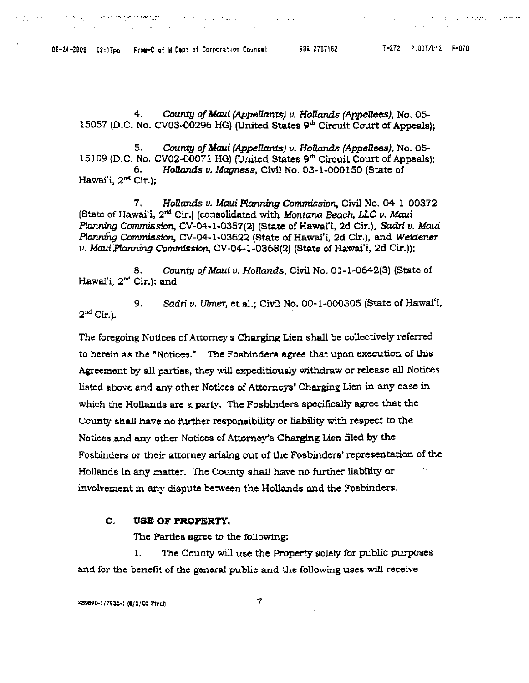08-24-2005 03:17pm From-C of M Dept of Corporation Counsel 608 2707152 7-272 P.007/012 F-070

 $\sim 10^{-1}$ 

 $\mathcal{L}_{\text{max}}$ 

**Carl Carl** 

ו הוא היה המודרנים במודרים במודרים המודרים במודרים במ<mark>י ממצט הממ</mark>דרים הקוליות ואו מאוד מאוד שהקינים המודרנים במוד

 $\sim$ 

 $\mathcal{L}^{\text{max}}$  .

الراسيس ولوسه طوراسه داردات الاستنباب

4. County of Maul (Appellants) *v.* HoUands *(AppeI1ees).* No. 05- 15057 (D.C. No. CV03-00296 HG) (United States 9<sup>th</sup> Circuit Court of Appeals);

5. County of Maui (Appellants) *v.* Hollands (Appellees), No. 05- 15109 (D.C. No. CV02-00071 HG) (United States 9<sup>th</sup> Circuit Court of Appeals); *6. Hol!ands v. Magness,* Civil No. 03-1-000150 (State of Hawai'i, 2<sup>nd</sup> Cir.);

7. Hollands v. Maui Planning Commission, Civil No. 04-1-00372 (State of Hawai'i, 2nd Cir.) (consolidated with Montana Beach, LLC *v.* Maui *Planning* Commission, CV-04-1-0357(2) (State of Hawai'i, 2d Cir.), Sadri v. Maui Planntng Commission, CV-04-1-03622 (State of Hawai'i, 2d Cir.), and Weldener v. Maul.Planning Commission, CV-04-1-0368(2) (State of Hawai'i, 2d Cir.)};

8. County of Maui v. Hollands, Civil No. 01-1-0642(3) (State of Hawai'i, 2nd Cir.); and

9. Sadri *v. Ulmer, et al.*; Civil No. 00-1-000305 (State of Hawai'i,  $2^{nd}$  Cir.).

The foregoing Notices of Attorney's Charging Lien shall be collectively referred to herein as the «Notices." The FOBblnders agree that upon execution of this Agreement by all parties, they will expeditiously withdraw or release all Notices listed above and any other Notices of Attorneys' Charging Lien in any case in which the Hollands arc a party. The Fosbinders specifica1ly agree that the County shall have no further responsibility or liability with respect to the Notices and any other Notices of Attorney's Charging Lien filed by the Fosbinders or their attorney arising out of the Fosbinders' representation of the Hollands In any matter. The County shall have no further liability or involvement in any dispute between the Hollands and the F05binders.

## C. USE OF PROPERTY.

The Parties agree to the following;

1. The County will use the Property solely for public purposes and for the benefit of the general public and the following uses will receive

289890-1/7936-1 (\$/5/05 Pinnl)

7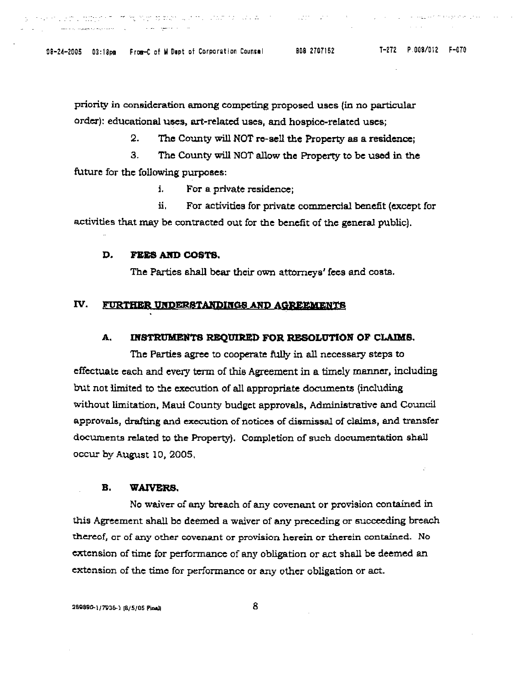08-24-2005 03:18pm From-C of M Dupt of Corporation Counsel 808 2707152 7-272 P.008/012 F-070

and the second second service of the second second service of the second service of the series of the series of the series of the series of the series of the series of the series of the series of the series of the series o

i standardi gan tarket de en en de beskeie de en gjort til stat folket folket i stat i stat folket i stat i st<br>De en stat i stat folket folket i de en stat folket i stat folket i stat folket i stat i stat i stat i stat i

المدخرة فالجويج فالجماع ويتداعا

priority in consideration among competing proposed uses (in no particular order): educational uses, art-related uses, and hospice-related uses;

2. The County will NOT ro-sell the Property as a residencc;

3. The County will NOT allow the Property to be used in the future for the following purposes:

i. For a private residence;

ii, For activities for private commercial benefit (except for activities that may be contracted out for the benefit of the general public),

# D. FEES AND COSTS.

The Parties shall bear their own attorneys' fees and costs.

# IV. FURTHER UNDERSTANDINGS AND AGREEMENTS

# A. INSTRUMENTS REQUIRED FOR RESOLUTION OF CLAIMS.

The Parties agree to cooperate fully in all necessary steps to effectuate each and every term of this Agreement in a timely manner, including but not limited to the execution of all appropriate documents (including without limitation, Maui County budget approvals, Administrative and Council approvals, drafting and execution of notices of dismissal of claims, and transfer documents related to the Property). Completion of such documentation shall occur by August 10, 2005,

### B. WAIVERS.

No waiver of any breach of any covenant or provision contained in this Agreement shall be deemed a waiver of any preceding or succeeding breach thereof, or of any other covenant or provision herein or therein contained. No extension of time for performance of any obligation or act shall be deemed an extension of the time for performance or any other obligation or act.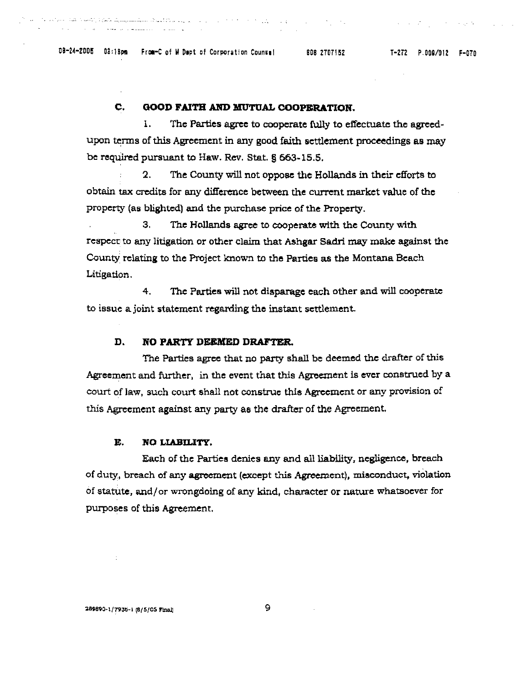# C. GOOD FAITH AND MUTUAL COOPERATION.

1. The Parties agree to cooperate fully to eifectuate the agreedupon terms of this Agreement in any good faith settlement proceedings as may be required pursuant to Haw. Rev. Stat. § 563-15.5.

و الروم المعلوم الأمريكي والمستخدم المناطق المستخدم المستخدم المستخدم المستخدم المستخدم المستخدم المستخدم المستخدمات

2. The County will not oppose the Hollands in their efforts to obtain tax credits for any difference between the current market value of the property (as blighted) and the purchase price of the Property.

3. The Hollands agree to cooperate with the County with respect to any litigation or other claim that Ashgar Sadri may make against the County relating to the Project known to the Parties as the Montana Beach Litigation.

4. The Parties will not disparage each other and will cooperate to issue a joint statement regarding the instant settlement.

# D. NO PARTY DEEMED DRAFTER.

The Parties agree that no party shall be deemed the drafter of this Agreement and further, in the event that this Agreement is ever construed by a court of law, such court shall not construe this Agreement or any provision of this Agreement against any party as the drafter of the Agreement.

# E. NO LIABILITY.

Each of the Parties denies any and all liability, negligence, breach of duty, breach of any agreement (except this Agreement), misconduct, violation of statute. and/or wrongdoing of any kind, character or nature whatsoever for purposes of this Agreement.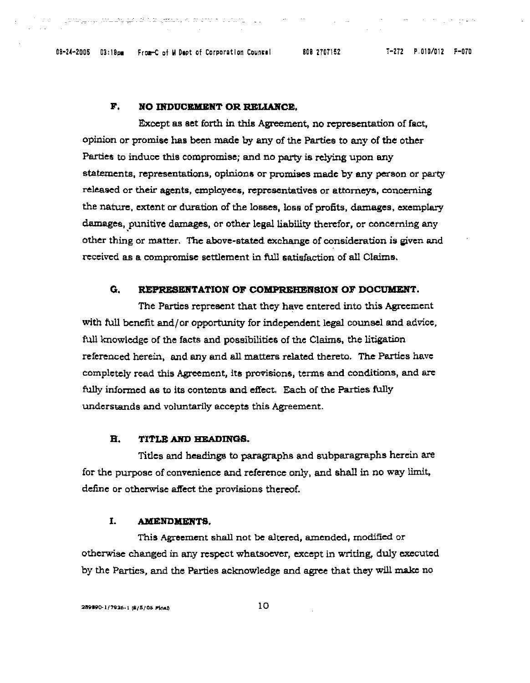08-24-2005 03:18pm From-C of M Dept of Corporation Counsel 808 2707152 7-272 P.010/012 F-070

# F. NO INDUCEMENT OR RELIANCE.

in a complete the fugit is the season in that is a control of the complete of the season of the complete of th

Except as set forth in this Agreement, no representation of fact, opinion or promise has been made by any of the Parties to any of the other Parties to induce this compromise; and no party is relying upon any statementa, representations, opinions or promises made by any person or party released or their agents, employees, representatives or attorneys, concerning the nature, extent or duration of the losses, loss of profits, damages, exemplary damages, punitive damages, or other legal liability therefor, or concerning any other thing or matter. The above-stated exchange of consideration is given and received as a compromise settlement in full satisfaction of all Claims.

# G. REPRESENTATION OF COMPREHENSION OF DOCUMENT.

The Parties represent that they have entered into this Agreement with full benefit and/or opportunity for independent legal counsel and advice, full knowledge of the facts and possibilities of the Claims, the litigation referenced herein, and any and all matters related thereto. The Parties have completely read this Agreement, its provisions, terms and conditions, and are fully informed as to its contents and effect. Each of the Parties fully understands and voluntarily accepts this Agreement.

# B. TITLE AND HEADINGS.

Titles and headlngs to paragraphs and subparagraphs herein are for the purpose of convenience and reference only, and shall in no way limit, define or otherwise affect the provisions thereof.

#### I. AMENDMENTS.

This Agreement shall not be altered, amended, modified or otherwise changed in any respect whatsoever, except in writing, duly executed by the Parties, and the Parties acknowledge and agree that they will make no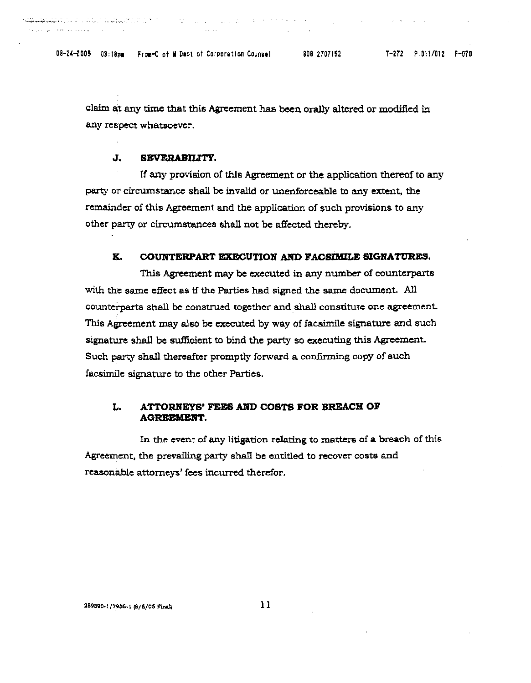08-24-2005 03:18pm From-C of M Dapt of Corporation Counsel 808 2707152

a a comparative and the sequence of the control of the company of the second comparative state of the second second

**Contract Contract** 

 $\mathcal{L}^{\mathcal{L}}$  , where  $\mathcal{L}^{\mathcal{L}}$  and  $\mathcal{L}^{\mathcal{L}}$  and  $\mathcal{L}^{\mathcal{L}}$ 

claim at any time that this Agreement has been orally altered or modified in any respect whatsoever.

#### J. SEVERABILITY.

If any provision of this Agreement or the application thereof to any party or circumstance shall be invalid or unenforceable to any extent, the remainder of this Agreement and the application of such provisions to any other party or circumstances shall not be affected thereby.

#### K. COUNTERPART EXECUTION AND FACSIMILE SIGNATURES.

This Agreement may be executed in any number of counterparts with the same effect as if the Parties had signed the same document. All counterparts shall be construed together and shall constitute one agreement. This Agreement may also be executed by way of facsimile signature and such signature shall be sufficient to bind the party so executing this Agreement. Such party shall thereafter promptly forward a confirming copy of such facsimile signature to the other Parties.

#### ATTORNEYS' FEES AND COSTS FOR BREACH OF L. **AGREEMENT.**

In the event of any litigation relating to matters of a breach of this Agreement, the prevailing party shall be entitled to recover costs and reasonable attorneys' fees incurred therefor.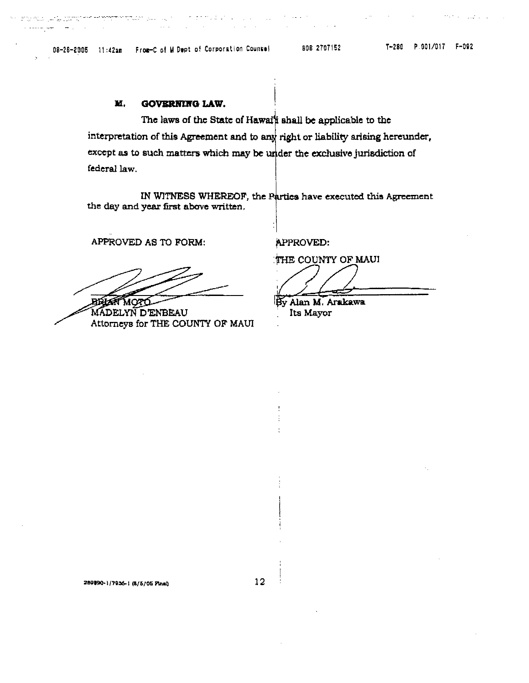**Collection** 

 $\mathbb{R}^2$ 

 $\frac{1}{2}$  and  $\frac{1}{2}$  and  $\frac{1}{2}$  . The spectrum and the property of the spectrum  $\frac{1}{2}$  and  $\frac{1}{2}$ 

e densidad

 $\mathcal{L}_{\mathrm{eff}}$ 

Arabia (1992) a

#### М. **GOVERNING LAW.**

The laws of the State of Hawal's shall be applicable to the interpretation of this Agreement and to any right or liability arising hereunder, except as to such matters which may be under the exclusive jurisdiction of federal law.

IN WITNESS WHEREOF, the Parties have executed this Agreement the day and year first above written.

APPROVED AS TO FORM:

**BRIGHT MOTO** 

MADELYN D'ENBEAU Attorneys for THE COUNTY OF MAUI

APPROVED:

THE COUNTY OF MAUI

By Alan M. Arakawa

Its Mayor

289890-1/7956-1 (5/5/05 Pinst)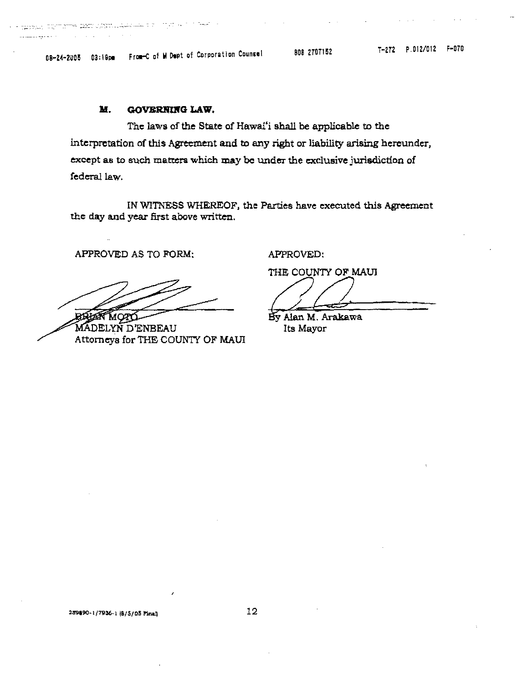in textual services and construction of a strip with the signal

 $\mathcal{L}^{\text{max}}$  and  $\mathcal{L}^{\text{max}}$ 

. . . . . . .

08-24-2005 03:19pm From-C of M Dept of Corporation Counsel

808 2707152

#### M. **GOVERNING LAW.**

The laws of the State of Hawai'i shall be applicable to the interpretation of this Agreement and to any right or liability arising hereunder, except as to such matters which may be under the exclusive jurisdiction of federal law.

IN WITNESS WHEREOF, the Parties have executed this Agreement the day and year first above written.

APPROVED AS TO FORM:

MADELYN D'ENBEAU Attorneys for THE COUNTY OF MAUI

APPROVED:

THE COUNTY OF MAUI

By Alan M. Arakawa Its Mayor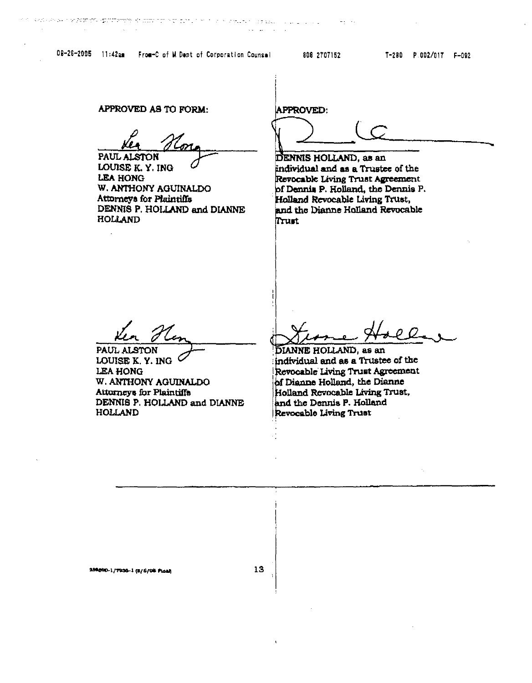APPROVED AS TO FORM:

PAUL AI

LOUISE K.Y. ING **LEA HONG** W. ANTHONY AGUINALDO Attorneys for Plaintiffs DENNIS P. HOLLAND and DIANNE **HOLLAND** 

**APPROVED:** 

DENNIS HOLLAND, as an individual and as a Trustee of the Revocable Living Trust Agreement of Dennis P. Holland, the Dennis P. Holland Revocable Living Trust, and the Dianne Holland Revocable Trust

PAUL ALSTON LOUISE K. Y. ING  $\sim$ **LEA HONG** W. ANTHONY AGUINALDO **Attorneys for Plaintiffs** DENNIS P. HOLLAND and DIANNE **HOLLAND** 

13

DIANNE HOLLAND, as an individual and as a Trustee of the Revocable Living Trust Agreement of Dianne Holland, the Dianne Holland Revocable Living Trust. and the Dennis P. Holland Revocable Living Trust

209000-1/7936-1 (8/6/06 Ploat)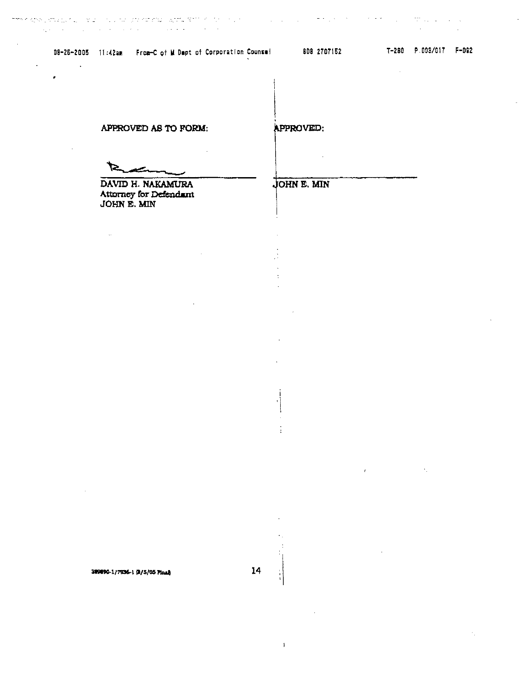08-26-2005 11:42am From-C of M Dept of Corporation Counsel 808 2707152 1-280 P.003/017 F-092

 $\mathcal{L}_{\mathcal{A}}$  and the second contribution of the second contribution of the second contribution of  $\mathcal{A}$ 

 $\mathcal{L}^{\text{max}}(\mathcal{L}^{\text{max}})$ 

 $\mathbf{z}^{(i)}$ 

 $\sim 10$ 

APPROVED AS TO FORM:

 $\mathcal{A}$ 

DAVID H. NAKAMURA Attorney for Defendant JOHN E. MIN

 $\sim 100$  km s  $^{-1}$ 

APPROVED:

in L

# JOHN E. MIN

 $\frac{1}{2}$  $\overline{a}$  $\ddot{\phantom{0}}$ 

 $\sigma$  .

 $\ddot{\phantom{a}}$ 

 $14<sub>1</sub>$ 

 $\mathbf{1}$ 

389890-1/7936-1 (8/5/05 Final)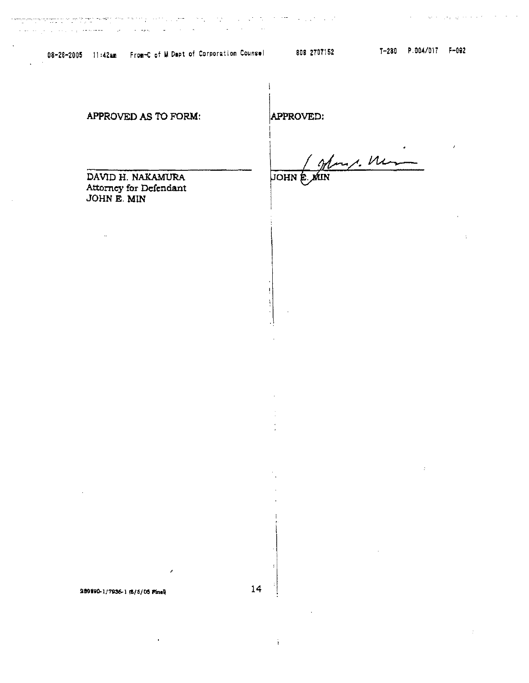$\mathcal{L}^{\text{max}}_{\text{max}}$ 

العراب المعتملة فخاروه الرعادان الفراطة

 $\ddot{\phantom{a}}$ 

 $\mathcal{L}(\mathbf{Q})$  and  $\mathcal{L}(\mathbf{Q})$ 

 $\mathcal{L}_{\mathcal{L}}$ 

 $\bar{\Delta}$ 

ţ

والحاريج والمعاقبة والمواقي وقول العاطية والمتابعة

Λ.

# APPROVED AS TO FORM:

APPROVED:

my. Mar

**JOHN** E ŃШ

DAVID H. NAKAMURA Attorney for Defendant JOHN E. MIN

289890-1/7936-1 (6/5/05 Final)

 $14$ 

i.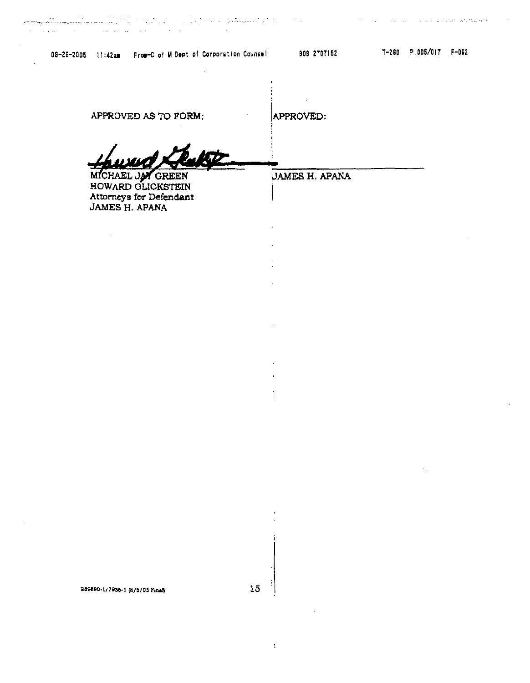$\mathcal{A}$ 

 $\mathbb{Z}^2$ 

 $\sim 10$ 

 $\sim$ 

| APPROVED AS TO FORM:                                                                      | APPROVED:             |  |
|-------------------------------------------------------------------------------------------|-----------------------|--|
| <b>UTT</b>                                                                                |                       |  |
| MICHAEL JA GREEN<br>HOWARD GLICKSTEIN<br>Attorneys for Defendant<br><b>JAMES H. APANA</b> | <b>JAMES H. APANA</b> |  |

 $\mathcal{L}^{\mathcal{L}}$ 

 $\Box$ 

÷.

 $\Delta \phi$ 

 $\ddot{\phantom{a}}$ 

 $\bar{\omega}$  $\hat{\mathbf{r}}$  $\frac{1}{2}$ 

 $\bar{\lambda}$ 

e de la constituída de la provincia de la provincia de la constituída de la constituída de la constituída de<br>En 1990, como mentre de la constituída de la constituída de la constituída de la constituída de la constituída

289890-1/7936-1 (8/5/05 Pinal)

15

 $\sim 3\%$ 

 $\overline{1}$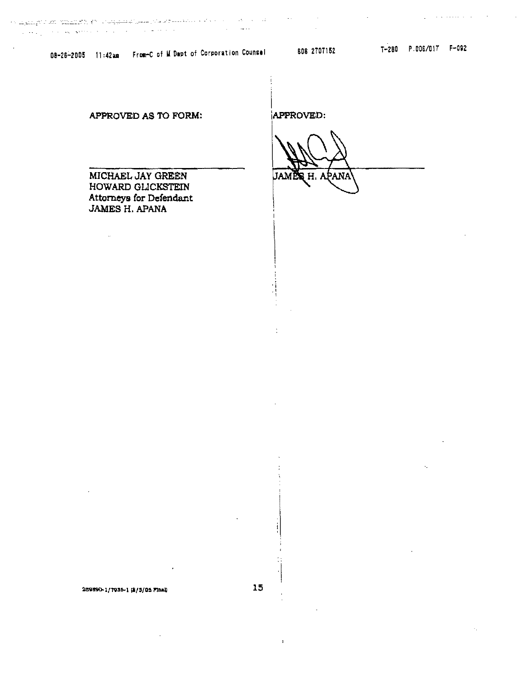a martin karakteri ingenis (ö. 1900)<br>19. martin - Antonio State (ö. 1900)<br>19. martin - Antonio State (ö. 1900)  $\mathcal{L}_{\mathcal{A}}$  and  $\mathcal{L}_{\mathcal{A}}$  is the constant of the set of the set of the set of the set of the  $\mathcal{A}$ 

08-26-2005 11:42am From-C of M Dept of Corporation Counsel 808 2707152

 $\mathcal{L}$ 

**Contract Contract** 

 $\mathcal{L}_{\text{max}}$  , and the contract of  $\mathcal{L}_{\text{max}}$ 

 $\sim$ 

APPROVED AS TO FORM:

MICHAEL JAY GREEN HOWARD GLICKSTEIN Attorneys for Defendant JAMES H. APANA

 $\sim 10^7$ 

APPROVED:

ANA

 $\sim 10^{11}$ 

269890-1/7936-1 (8/5/05 Final)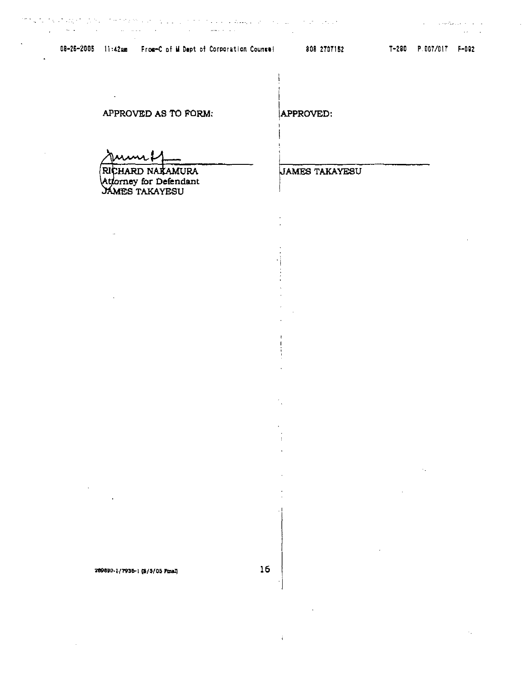$\label{eq:1.1} \gamma_{\alpha\beta}(\vec{z}) = \gamma_{\alpha\beta}(\vec{z}) + \sqrt{2} \gamma_{\alpha\beta}(\vec{z}) \gamma_{\alpha\beta}(\vec{z}) + \gamma_{\alpha\beta}(\vec{z})$ 

 $\sim$ 

APPROVED AS TO FORM:

 $\mathbf{r}$ 

RICHARD NATAMURA Attorney for Defendant<br>JAMES TAKAYESU APPROVED:

**JAMES TAKAYESU** 

209890-1/7935-1 (8/5/05 Final)

 $\mathbf{i}$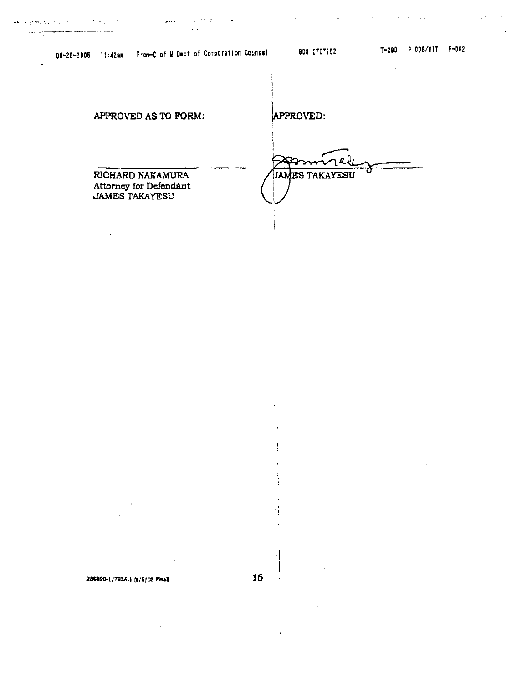$\mathcal{L}_{\mathcal{A}}$ 

 $\ddot{\phantom{0}}$ 

 $\sim 10^7$ 

 $\sim 10^4$ 

| APPROVED AS TO FORM:                                                | APPROVED:             |
|---------------------------------------------------------------------|-----------------------|
| RICHARD NAKAMURA<br>Attorney for Defendant<br><b>JAMES TAKAYESU</b> | <b>JAMES TAKAYESU</b> |

 $\ddot{\phantom{a}}$ 

 $\cdot$  :

ļ

 $\ddot{\text{}}$  $\cdot$ 

 $\mathbb{C}$ 

 $\begin{array}{c} \begin{array}{c} \bullet \\ \bullet \\ \bullet \end{array} \end{array}$ 

a and the state of the state of the state of the state of the state of the state of the state of the state of the state of the state of the state of the state of the state of the state of the state of the state of the stat

289890-1/7936-1 (8/5/05 Pinel)

J.

16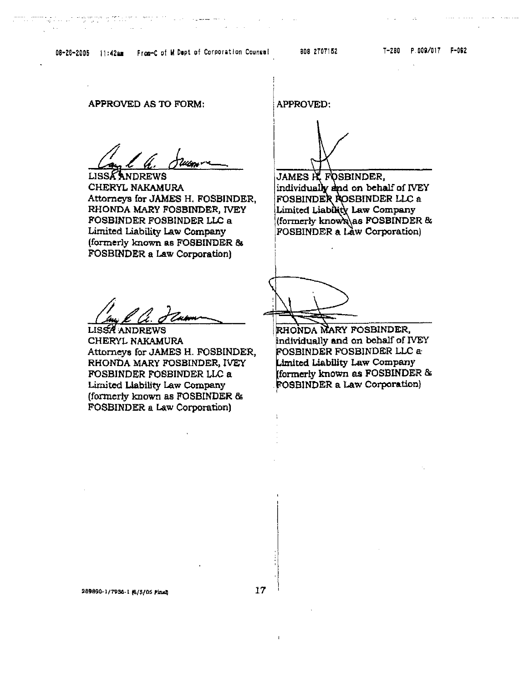**APPROVED AS TO FORM:** 

**LISSA ANDREWS** CHERYL NAKAMURA Attorneys for JAMES H. FOSBINDER, RHONDA MARY FOSBINDER, IVEY FOSBINDER FOSBINDER LLC a Limited Liability Law Company (formerly known as FOSBINDER & **FOSBINDER a Law Corporation)** 

**APPROVED:** 

james ië fosbinder, individually and on behalf of IVEY FOSBINDER ROSBINDER LLC a Limited Liability Law Company (formerly known) as FOSBINDER & **FOSBINDER a Law Corporation**)

**LISSA ANDREWS** CHERYL NAKAMURA Attorneys for JAMES H. FOSBINDER, RHONDA MARY FOSBINDER, IVEY FOSBINDER FOSBINDER LLC a Limited Liability Law Company (formerly known as FOSBINDER & **FOSBINDER a Law Corporation)** 

RHONDA MARY FOSBINDER, individually and on behalf of IVEY FOSBINDER FOSBINDER LLC a Limited Liability Law Company formerly known as FOSBINDER & FOSBINDER a Law Corporation)

 $\mathbf{I}$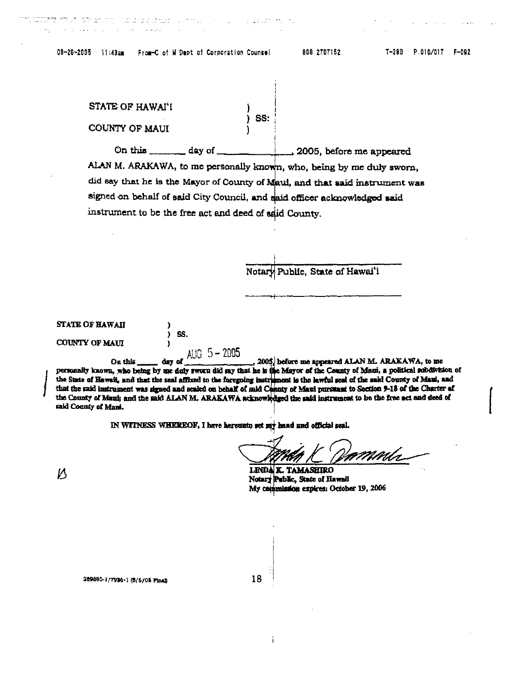€ ) SS.

de grimm ha a les leves

 $\mathbb{R}^2$  $\sim$  .

i serega pr

**Carl Corp.** 

| STATE OF HAWAI'I |                 |  |
|------------------|-----------------|--|
| COUNTY OF MAUI   | $\,$ SS. $\,$ : |  |

ALAN M. ARAKAWA, to me personally known, who, being by me duly sworn, did say that he is the Mayor of County of Maui, and that said instrument was signed on behalf of said City Council, and said officer acknowledged said instrument to be the free act and deed of said County.

a color m

Notary Public, State of Hawai'i

**STATE OF HAWAII** 

COUNTY OF MAUI

AUG  $5 - 2005$ day of , 2005, before me appeared ALAN M. ARAKAWA, to me On this personally known, who being by me duly sworn did say that he is the Mayor of the County of Maui, a political subdivision of the State of Hawaii, and that the seal affixed to the foregoing instrument is the lawful seal of the said County of Maui, and that the said instrument was signed and scaled on behalf of said Connty of Maui pursuant to Soction 9-18 of the Charter of the County of Mani; and the said ALAN M. ARAKAWA acknowledged the said instrument to be the free act and deed of said County of Mani.

IN WITNESS WHEREOF, I have hereunto set my hand and official seal.

LINDA K. TAMASHIRO Notary Public, State of Hawaii My commission expires: October 19, 2006

V)

18

Ť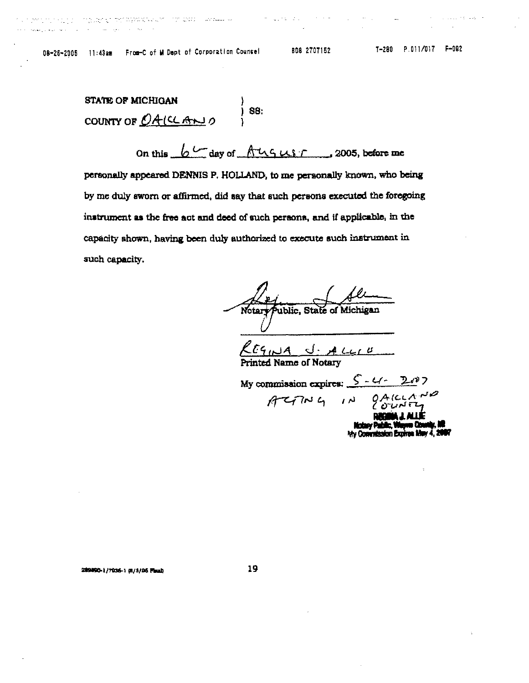التقدير المتراد المرادي والرابط

808 2707152

 $\omega$  is a given by  $\omega$  , we can be

**STATE OF MICHIGAN**  $j$  ss: COUNTY OF  $DA(CLA_{N})$ 

On this  $6 - \text{day of } \text{A}$   $\text{A}$   $\text{A}$   $\text{A}$   $\text{A}$   $\text{A}$   $\text{A}$   $\text{A}$   $\text{A}$   $\text{A}$   $\text{A}$   $\text{A}$   $\text{A}$   $\text{A}$   $\text{A}$   $\text{A}$   $\text{A}$   $\text{A}$   $\text{A}$   $\text{A}$   $\text{A}$   $\text{A}$   $\text{A}$   $\text{A}$   $\text{A}$   $\text{A$ personally appeared DENNIS P. HOLLAND, to me personally known, who being by me duly sworn or affirmed, did say that such persons executed the foregoing instrument as the free act and deed of such persons, and if applicable, in the capacity shown, having been duly authorized to execute such instrument in such capacity.

ublic, State of Michigan **Notary** 

 $L_{L1}B$ ed Name of Notary

My commission expires:  $5 - 4 - 20$ <br> $9 - 4$ <br> $10 - 9$ <br> $9 - 4$ <br> $10 - 7$ <br> $10 - 9$ a Cou musany rasmis, waqoon kasumay, no<br>hty Commission Expires Mar 4, 201

### 209090-1/7936-1 (6/3/05 Final)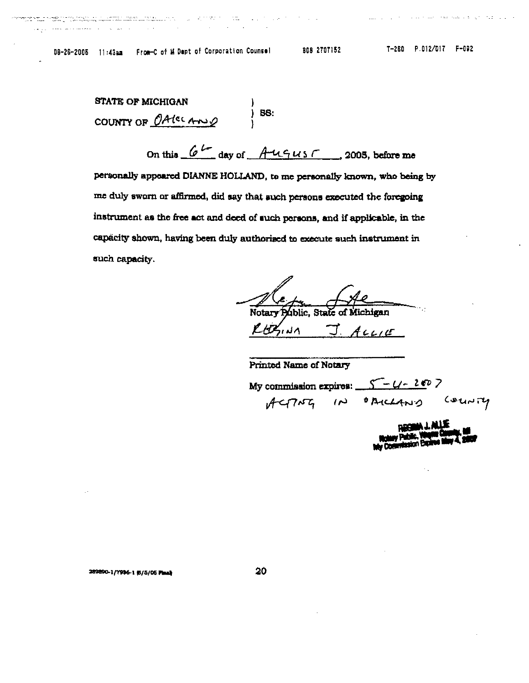.<br>1966 – Santa Maria Lander, amerikansk politik (f. 1920)<br>1966 – Johann Johnson, amerikansk politik (f. 1920)

state of the state of the state

 $\sim 10$ 

والرادا ورجاده والانفساط لفقعا العسائلا والتواور

| <b>STATE OF MICHIGAN</b> |         |
|--------------------------|---------|
| COUNTY OF OAKCANSO       | $)$ BS: |

On this  $6^L$  day of  $A^U \cap U S$ , 2005, before me personally appeared DIANNE HOLLAND, to me personally known, who being by me duly sworn or affirmed, did say that such persons executed the foregoing instrument as the free act and deed of such persons, and if applicable, in the capacity shown, having been duly authorised to execute such instrument in such capacity.

Notary Public. State of Michigan **BUNA**  $44415$ 

Printed Name of Notary

My commission expires:  $S-U-2007$ <br> $ACTMG$  (N) OBICLAND COUNTY

289890-1/7996-1 (5/5/05 Plank

20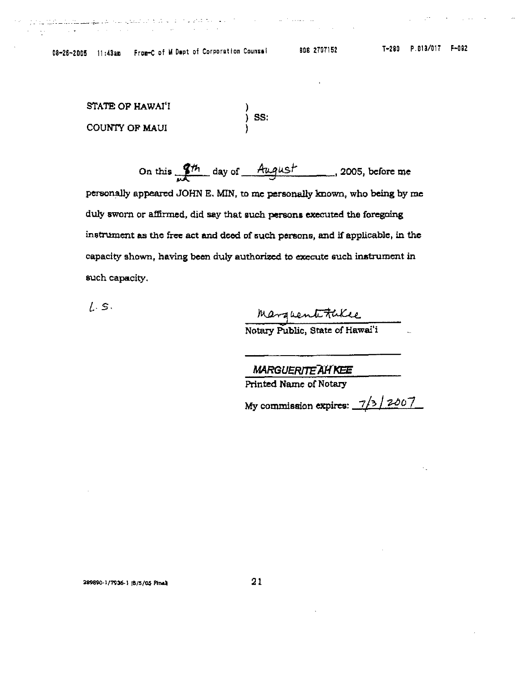$\hat{f}$  ,  $\hat{f}$  ,  $\hat{f}$  ,  $\hat{f}$  ,  $\hat{f}$  ,  $\hat{f}$  ,  $\hat{f}$  ,  $\hat{f}$  ,  $\hat{f}$  ,  $\hat{f}$  ,  $\hat{f}$  ,  $\hat{f}$  ,  $\hat{f}$  ,  $\hat{f}$ 

المدادمة والأرام المستحدث كالمدادية فكالأماث فالمائد والمكملات متحالة المتمهوليس فالمتها للمستقل المتوازر

 $\mathcal{L}^{\mathcal{L}}$  , where  $\mathcal{L}^{\mathcal{L}}$  is the positive function of  $\mathcal{L}^{\mathcal{L}}$ 

 $\sim$ 

STATE OF HAWAI'I )<br>) SS: COUNTY OF MAUI

On this  $\frac{gh}{m}$  day of August 2005, before me

personally appeared JOHN E. MIN, to me personally known, who being by me duly sworn or affirmed, did say that such persons executed the foregoing instrument as the free act and deed of such persons, and if applicable, in the capacity shown, having been duly authorized to execute such instrument in such capacity.

 $1.5.$ 

Marguent Fukee

**MARGUERITE AH KEE** 

Printed Name of Notary

My commission expires:  $\frac{7}{3}/\frac{2007}{ }$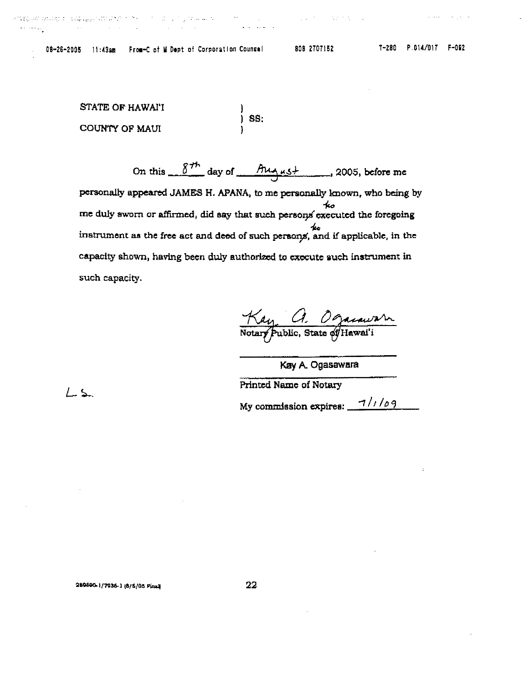المستعين والرامي والمستحدث والمحتفظ والمتعاقب والمستعددة والمتعاني

in 1990.<br>Sedan

 $\mathcal{L}^{\mathcal{L}}$  , and  $\mathcal{L}^{\mathcal{L}}$  , and  $\mathcal{L}^{\mathcal{L}}$  , and  $\mathcal{L}^{\mathcal{L}}$  , and  $\mathcal{L}^{\mathcal{L}}$ 

and the contract of

STATE OF HAWAI'I )<br>) SS: COUNTY OF MAUI

On this  $8^{th}$  day of  $M + 12005$ , before me personally appeared JAMES H. APANA, to me personally known, who being by ≁∽ me duly sworn or affirmed, did say that such persons executed the foregoing  $40<sub>o</sub>$ instrument as the free act and deed of such persons, and if applicable, in the capacity shown, having been duly authorized to execute such instrument in such capacity.

Kay a Ogarawan

Kay A. Ogasawara

**Printed Name of Notary** 

My commission expires:  $\frac{7}{109}$ 

289890-1/7036-1 (6/5/05 Finns

کے ک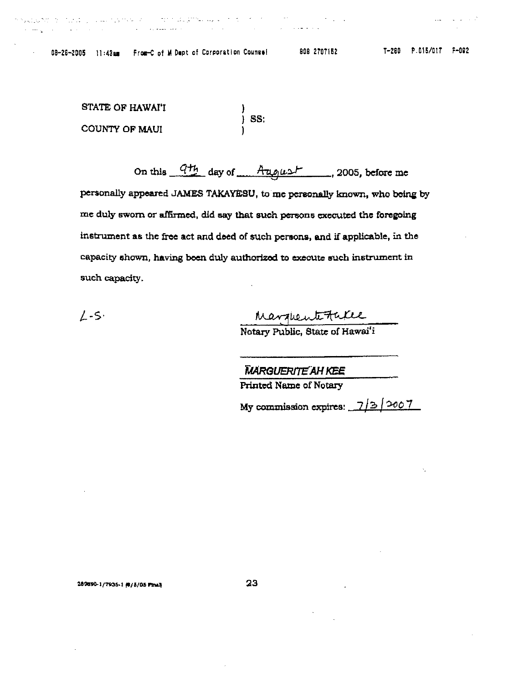אין אין אין איינע בארצע באראי און א איזיער אין געוואר אין איינע איינע איינע איינע איינע איינע איינע א

 $\mathcal{L}(\mathcal{L}^{\mathcal{L}})$  and  $\mathcal{L}^{\mathcal{L}}$  are  $\mathcal{L}^{\mathcal{L}}$  . In the contribution

 $\mathcal{L} = \mathcal{L} \left( \mathcal{L} \right)$  , where  $\mathcal{L} \left( \mathcal{L} \right)$ 

**September** 

in Linux Co

STATE OF HAWAI'I  $\frac{1}{2}$  SS: COUNTY OF MAUI

On this  $\frac{q_{th}}{q_{th}}$  day of  $\frac{A_{q_{th}}}{A_{q_{th}}}-$ , 2005, before me personally appeared JAMES TAKAYESU, to me personally known, who being by me duly sworn or affirmed, did say that such persons executed the foregoing instrument as the free act and deed of such persons, and if applicable, in the capacity shown, having been duly authorized to execute such instrument in such capacity.

 $L-S$ 

Marguerte Face

Notary Public, State of Hawai'i

MARGUERITE AH KEE

**Printed Name of Notary** 

My commission expires:  $7/3/2007$ 

280890-1/7936-1 #/5/05 Finaly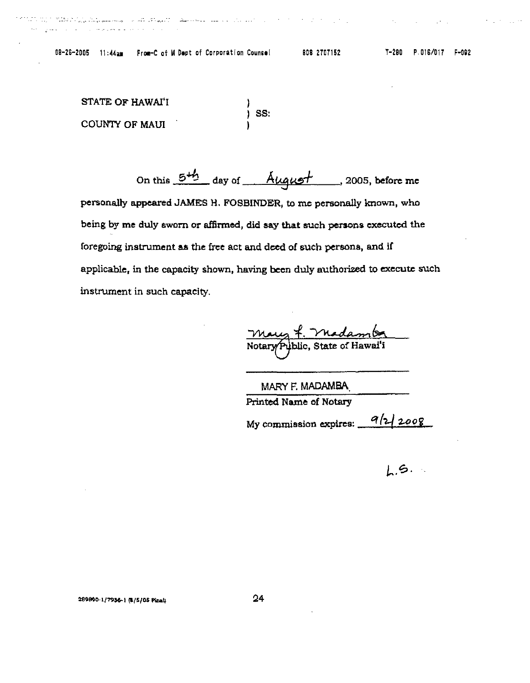ان الارتباط الاستراتين الاسترات المستردين المساعد المستخدمية التميين في هو المستخدم المستخدمين

STATE OF HAWAI'I  $\vert$  SS: COUNTY OF MAUI

On this 5<sup>+h</sup> day of August 2005, before me personally appeared JAMES H. FOSBINDER, to me personally known, who being by me duly sworn or affirmed, did say that such persons executed the foregoing instrument as the free act and deed of such persons, and if applicable, in the capacity shown, having been duly authorized to execute such instrument in such capacity.

<u>Vhang 7. Yhadamba</u><br>Notary Public, State of Hawai'i

MARY F. MADAMBA Printed Name of Notary My commission expires:  $\frac{a}{2\sqrt{2008}}$ 

 $1.5.$ 

289890-1/7936-1 (8/5/05 Pines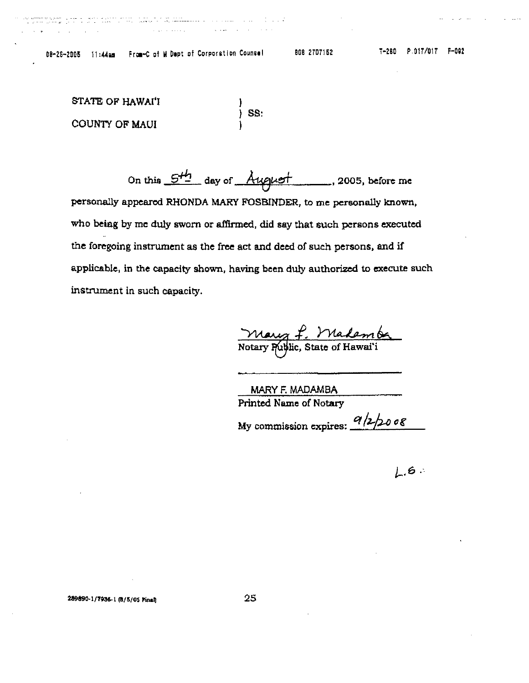n <del>komment ti</del>ng yang melalui ke sebagai ke kalendar ke sebagai ke sebagai ke sebagai ke ke ke sebagai ke sebagai k<br>Sebagai ke yang melalui ke ke ke ke sebagai ke ke sebagai ke yang ke ke ke yang ke yang mengenakan ke ke

STATE OF HAWAI'J ss: COUNTY OF MAUl

On this  $5<sup>H_2</sup>$  day of August. 2005, before me personally appeared RHONDA MARY FOSBINDER, to me personally known, who beisg by me duly sworn or affinned, did say that such persons executed the foregoing instrument as the free act and deed of such persons, end if applicable, in the capacity shown, having been duly authorized to execute such instrument in such capacity.

wy f. Madember<br>Public, State of Hawai'i

MARY F. MADAMBA PrInted Name of Notary

My commission expires:  $\frac{q}{2}$  *2-*  $\frac{1}{2}$  0 0  $\frac{g}{2}$ 

 $1.6$ 

289890-1/7936-1 (8/5/05 Final)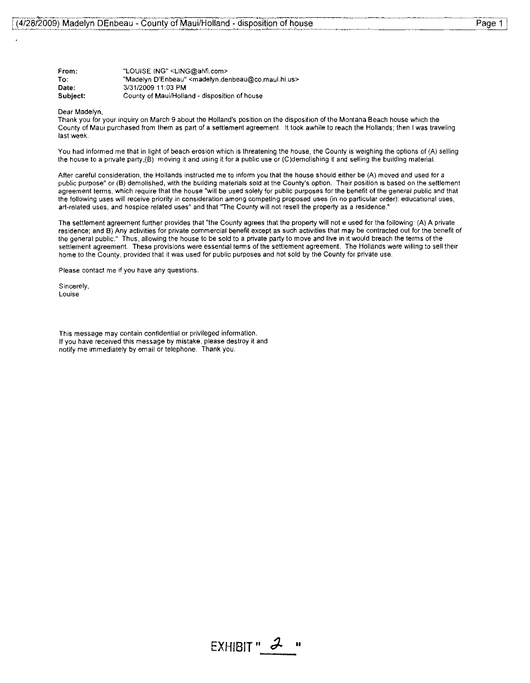| From:    | "LOUISE ING" <ling@ahfi.com></ling@ahfi.com>                                       |
|----------|------------------------------------------------------------------------------------|
| To:      | "Madelyn D'Enbeau" <madelyn.denbeau@co.maui.hi.us></madelyn.denbeau@co.maui.hi.us> |
| Date:    | 3/31/2009 11:03 PM                                                                 |
| Subject: | County of Maui/Holland - disposition of house                                      |

### Dear Madelyn,

Thank you for your inquiry on March 9 about the Holland's position on the disposition of the Montana Beach house wh'lch the County of Maui purchased from them as part of a settlement agreement. It took awhile to reach the Hollands; then I was traveling last week.

You had informed me that in light of beach erosion which is threatening the house, the County is weighing the options of (A) selling the house to a private party,(B) moving it and using it for a public use or (C)demolishing it and selling the building material.

After careful consideration, the Hollands instructed me to inform you that the house should either be (A) moved and used for a public purpose" or (B) demolished, with the building materials sold at the County's option. Their position is based on the settlement agreement terms, which require that the house "will be used solely for public purposes for the benefit of the general public and that the following uses will receive priority in consideration among competing proposed uses (In no particular order): educational uses, art-related uses, and hospice related uses" and that "The County will not resell the property as a residence."

The settlement agreement further provides that "the County agrees that the property will not e used for the following: (A) A private residence; and B) Any activities for private commercial benefit except as such activities that may be contracted out for the benefit of the general public." Thus, allowing the house to be sold to a private party to move and live in it would breach the terms of the settlement agreement. These provisions were essential terms of the settlement agreement. The Hollands were willing to sell their home to the County, provided that it was used for public purposes and not sold by the County for private use.

Please contact me if you have any questions.

Sincerely, Louise

This message may contain confidential or privileged information. If you have received this message by mistake, please destroy it and notify me immediately by email or telephone. Thank you,

Page 1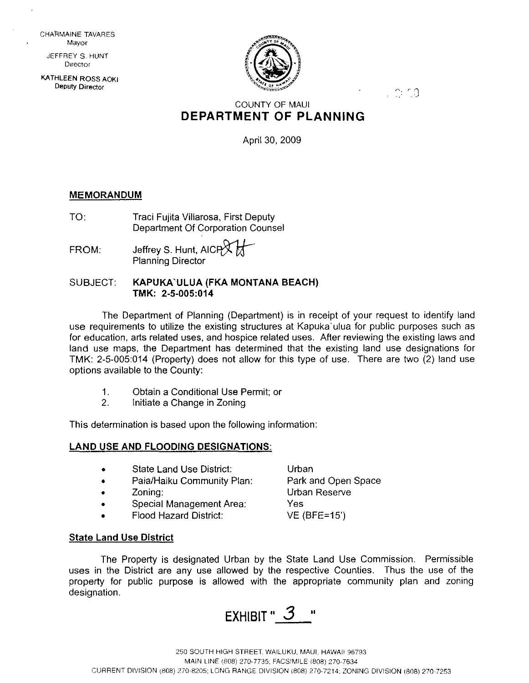CHARMAINE TAVARES **Mayor** 

JEFFREY S. HUNT **DIrector** 

KATHLEEN ROSS AOKI **Deputy Director** 



 $\sim$  r  $\alpha$ 

# COUNTY OF MAUl **DEPARTMENT OF PLANNING**

April 30, 2009

# **MEMORANDUM**

- TO: Traci Fujita Villarosa, First Deputy Department Of Corporation Counsel
- $FROM:$  Jeffrey S. Hunt, AICP $\chi$ Planning Director

# SUBJECT: **KAPUKA`ULUA (FKA MONTANA BEACH) TMK: 2·5·005:014**

The Department of Planning (Department) is in receipt of your request to identify land use requirements to utilize the existing structures at Kapuka'ulua for public purposes such as for education, arts related uses, and hospice related uses. After reviewing the existing laws and land use maps, the Department has determined that the existing land use designations for TMK: 2·5·005:014 (Property) does not allow for this type of use. There are two (2) land use options available to the County:

- 1. Obtain a Conditional Use Permit; or
- 2. Initiate a Change in Zoning

This determination is based upon the following information:

# **LAND USE AND FLOODING DESIGNATIONS:**

- State Land Use District: • Paia/Haiku Community Plan: Urban Park and Open Space
- Zoning:
- Special Management Area:
- Flood Hazard District:

# **State Land** Use **District**

The Property is designated Urban by the State Land Use Commission. Permissible uses in the District are any use allowed by the respective Counties. Thus the use of the property for public purpose is allowed with the appropriate community plan and zoning designation.

Urban Reserve

VE (BFE=15')

Yes

EXHIBIT " 3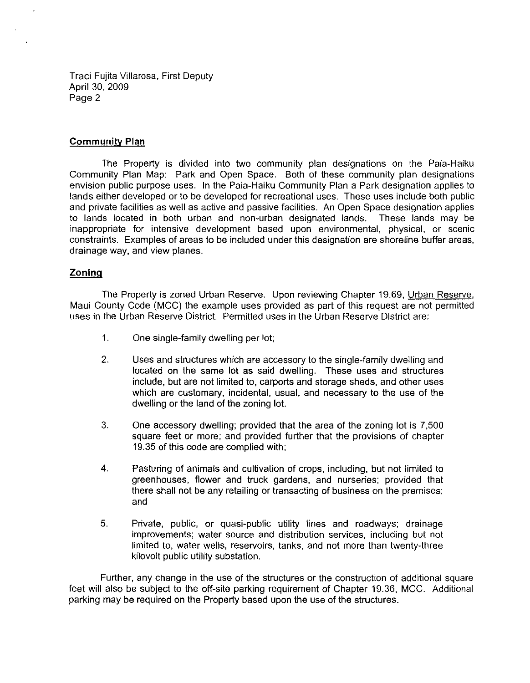Traci Fujita Villarosa, First Deputy April 30, 2009 Page 2

# **Community Plan**

The Property is divided into two community plan designations on the Paia-Haiku Community Plan Map: Park and Open Space. Both of these community plan designations envision public purpose uses. In the Paia-Haiku Community Plan a Park designation applies to lands either developed or to be developed for recreational uses. These uses include both public and private facilities as well as active and passive facilities. An Open Space designation applies to lands located in both urban and non-urban designated lands. These lands may be inappropriate for intensive development based upon environmental, physical, or scenic constraints. Examples of areas to be included under this designation are shoreline buffer areas, drainage way, and view planes.

# **Zoning**

The Property is zoned Urban Reserve. Upon reviewing Chapter 19.69, Urban Reserve, Maui County Code (MCC) the example uses provided as part of this request are not permitted uses **in** the Urban Reserve District. Permitted uses in the Urban Reserve District are:

- 1. One single-family dwelling per lot;
- 2. Uses and structures which are accessory to the single-family dwelling and located on the same lot as said dwelling. These uses and structures include, but are not limited to, carports and storage sheds, and other uses which are customary, incidental, usual, and necessary to the use of the dwelling or the land of the zoning lot.
- 3. One accessory dwelling; provided that the area of the zoning lot is 7,500 square feet or more; and provided further that the provisions of chapter 19.35 of this code are complied with;
- 4. Pasturing of animals and cultivation of crops, including, but not limited to greenhouses, flower and truck gardens, and nurseries; provided that there shall not be any retailing or transacting of business on the premises; and
- 5. Private, public, or quasi-public utility lines and roadways; drainage improvements; water source and distribution services, including but not limited to, water wells, reservoirs, tanks, and not more than twenty-three kilovolt public utility substation.

Further, any change in the use of the structures or the construction of additional square feet will also be subject to the off-site parking requirement of Chapter 19.36, MCC. Additional parking may be required on the Property based upon the use of the structures.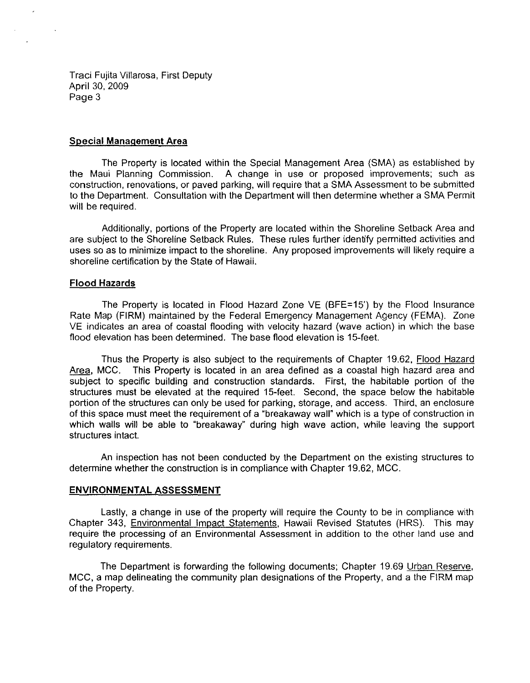Traci Fujita Villarosa, First Deputy April 30, 2009 Page 3

# **Special Management Area**

 $\sim 40$ 

The Property is located within the Special Management Area (SMA) as established by the Maui Planning Commission. A change in use or proposed improvements; such as construction, renovations, or paved parking, will require that a SMA Assessment to be submitted to the Department. Consultation with the Department will then detemnine whether a SMA Permit will be required.

Additionally, portions of the Property are located within the Shoreline Setback Area and are subject to the Shoreline Setback Rules. These rules further identify pemnitted activities and uses so as to minimize impact to the shoreline. Any proposed improvements will likely require a shoreline certification by the State of Hawaii.

# **Flood Hazards**

The Property is located in Flood Hazard Zone VE (BFE=15') by the Flood Insurance Rate Map (FIRM) maintained by the Federal Emergency Management Agency (FEMA). Zone VE indicates an area of coastal flooding with velocity hazard (wave action) in which the base flood elevation has been determined. The base flood elevation is 15-feet.

Thus the Property is also subject to the requirements of Chapter 19.62, Flood Hazard Area, MCC. This Property is located in an area defined as a coastal high hazard area and subject to specific building and construction standards. First, the habitable portion of the structures must be elevated at the required 15-feet. Second, the space below the habitable portion of the structures can only be used for parking, storage, and access. Third, an enclosure of this space must meet the requirement of a "breakaway wall" which is a type of construction **in**  which walls will be able to "breakaway" during high wave action, while leaving the support structures intact.

An inspection has not been conducted by the Department on the eXisting structures to detemnine whether the construction is in compliance with Chapter 19.62, MCC.

# **ENVIRONMENTAL ASSESSMENT**

Lastly, a change in use of the property will require the County to be in compliance with Chapter 343, Environmental Impact Statements, Hawaii Revised Statutes (HRS). This may require the processing of an Environmental Assessment in addition to the other land use and regulatory requirements.

The Department is forwarding the following documents; Chapter 19.69 Urban Reserve, MCC, a map delineating the community plan designations of the Property, and a the FIRM map of the Property.